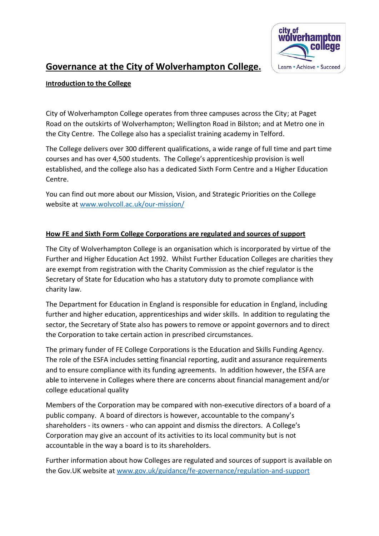

# **Governance at the City of Wolverhampton College.**

# **Introduction to the College**

City of Wolverhampton College operates from three campuses across the City; at Paget Road on the outskirts of Wolverhampton; Wellington Road in Bilston; and at Metro one in the City Centre. The College also has a specialist training academy in Telford.

The College delivers over 300 different qualifications, a wide range of full time and part time courses and has over 4,500 students. The College's apprenticeship provision is well established, and the college also has a dedicated Sixth Form Centre and a Higher Education Centre.

You can find out more about our Mission, Vision, and Strategic Priorities on the College website at [www.wolvcoll.ac.uk/our-mission/](http://www.wolvcoll.ac.uk/our-mission/)

# **How FE and Sixth Form College Corporations are regulated and sources of support**

The City of Wolverhampton College is an organisation which is incorporated by virtue of the Further and Higher Education Act 1992. Whilst Further Education Colleges are charities they are exempt from registration with the Charity Commission as the chief regulator is the Secretary of State for Education who has a statutory duty to promote compliance with charity law.

The Department for Education in England is responsible for education in England, including further and higher education, apprenticeships and wider skills. In addition to regulating the sector, the Secretary of State also has powers to remove or appoint governors and to direct the Corporation to take certain action in prescribed circumstances.

The primary funder of FE College Corporations is the Education and Skills Funding Agency. The role of the ESFA includes setting financial reporting, audit and assurance requirements and to ensure compliance with its funding agreements. In addition however, the ESFA are able to intervene in Colleges where there are concerns about financial management and/or college educational quality

Members of the Corporation may be compared with non-executive directors of a board of a public company. A board of directors is however, accountable to the company's shareholders - its owners - who can appoint and dismiss the directors. A College's Corporation may give an account of its activities to its local community but is not accountable in the way a board is to its shareholders.

Further information about how Colleges are regulated and sources of support is available on the Gov.UK website at [www.gov.uk/guidance/fe-governance/regulation-and-support](http://www.gov.uk/guidance/fe-governance/regulation-and-support)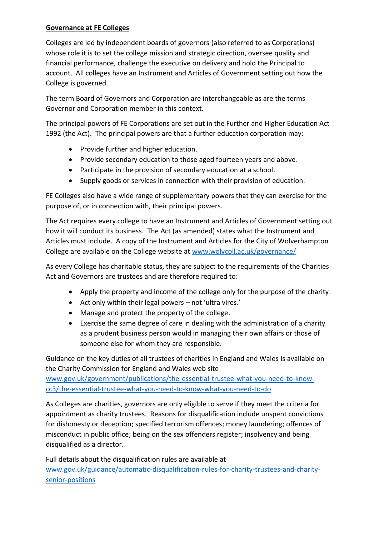# **Governance at FE Colleges**

Colleges are led by independent boards of governors (also referred to as Corporations) whose role it is to set the college mission and strategic direction, oversee quality and financial performance, challenge the executive on delivery and hold the Principal to account. All colleges have an Instrument and Articles of Government setting out how the College is governed.

The term Board of Governors and Corporation are interchangeable as are the terms Governor and Corporation member in this context.

The principal powers of FE Corporations are set out in the Further and Higher Education Act 1992 (the Act). The principal powers are that a further education corporation may:

- Provide further and higher education.
- Provide secondary education to those aged fourteen years and above.
- Participate in the provision of secondary education at a school.
- Supply goods or services in connection with their provision of education.

FE Colleges also have a wide range of supplementary powers that they can exercise for the purpose of, or in connection with, their principal powers.

The Act requires every college to have an Instrument and Articles of Government setting out how it will conduct its business. The Act (as amended) states what the Instrument and Articles must include. A copy of the Instrument and Articles for the City of Wolverhampton College are available on the College website at [www.wolvcoll.ac.uk/governance/](http://www.wolvcoll.ac.uk/governance/)

As every College has charitable status, they are subject to the requirements of the Charities Act and Governors are trustees and are therefore required to:

- Apply the property and income of the college only for the purpose of the charity.
- Act only within their legal powers not 'ultra vires.'
- Manage and protect the property of the college.
- Exercise the same degree of care in dealing with the administration of a charity as a prudent business person would in managing their own affairs or those of someone else for whom they are responsible.

Guidance on the key duties of all trustees of charities in England and Wales is available on the Charity Commission for England and Wales web site

[www.gov.uk/government/publications/the-essential-trustee-what-you-need-to-know](http://www.gov.uk/government/publications/the-essential-trustee-what-you-need-to-know-cc3/the-essential-trustee-what-you-need-to-know-what-you-need-to-do)[cc3/the-essential-trustee-what-you-need-to-know-what-you-need-to-do](http://www.gov.uk/government/publications/the-essential-trustee-what-you-need-to-know-cc3/the-essential-trustee-what-you-need-to-know-what-you-need-to-do)

As Colleges are charities, governors are only eligible to serve if they meet the criteria for appointment as charity trustees. Reasons for disqualification include unspent convictions for dishonesty or deception; specified terrorism offences; money laundering; offences of misconduct in public office; being on the sex offenders register; insolvency and being disqualified as a director.

Full details about the disqualification rules are available at [www.gov.uk/guidance/automatic-disqualification-rules-for-charity-trustees-and-charity](http://www.gov.uk/guidance/automatic-disqualification-rules-for-charity-trustees-and-charity-senior-positions)[senior-positions](http://www.gov.uk/guidance/automatic-disqualification-rules-for-charity-trustees-and-charity-senior-positions)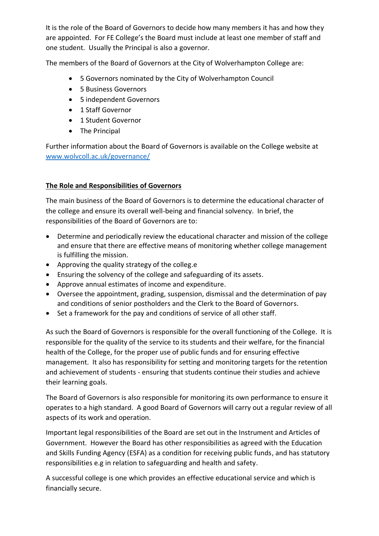It is the role of the Board of Governors to decide how many members it has and how they are appointed. For FE College's the Board must include at least one member of staff and one student. Usually the Principal is also a governor.

The members of the Board of Governors at the City of Wolverhampton College are:

- 5 Governors nominated by the City of Wolverhampton Council
- 5 Business Governors
- 5 independent Governors
- 1 Staff Governor
- 1 Student Governor
- The Principal

Further information about the Board of Governors is available on the College website at [www.wolvcoll.ac.uk/governance/](http://www.wolvcoll.ac.uk/governance/)

# **The Role and Responsibilities of Governors**

The main business of the Board of Governors is to determine the educational character of the college and ensure its overall well-being and financial solvency. In brief, the responsibilities of the Board of Governors are to:

- Determine and periodically review the educational character and mission of the college and ensure that there are effective means of monitoring whether college management is fulfilling the mission.
- Approving the quality strategy of the colleg.e
- Ensuring the solvency of the college and safeguarding of its assets.
- Approve annual estimates of income and expenditure.
- Oversee the appointment, grading, suspension, dismissal and the determination of pay and conditions of senior postholders and the Clerk to the Board of Governors.
- Set a framework for the pay and conditions of service of all other staff.

As such the Board of Governors is responsible for the overall functioning of the College. It is responsible for the quality of the service to its students and their welfare, for the financial health of the College, for the proper use of public funds and for ensuring effective management. It also has responsibility for setting and monitoring targets for the retention and achievement of students - ensuring that students continue their studies and achieve their learning goals.

The Board of Governors is also responsible for monitoring its own performance to ensure it operates to a high standard. A good Board of Governors will carry out a regular review of all aspects of its work and operation.

Important legal responsibilities of the Board are set out in the Instrument and Articles of Government. However the Board has other responsibilities as agreed with the Education and Skills Funding Agency (ESFA) as a condition for receiving public funds, and has statutory responsibilities e.g in relation to safeguarding and health and safety.

A successful college is one which provides an effective educational service and which is financially secure.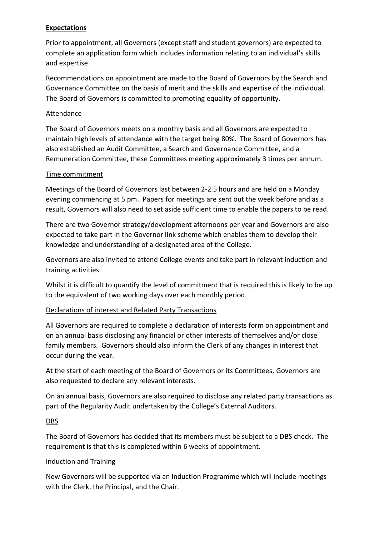## **Expectations**

Prior to appointment, all Governors (except staff and student governors) are expected to complete an application form which includes information relating to an individual's skills and expertise.

Recommendations on appointment are made to the Board of Governors by the Search and Governance Committee on the basis of merit and the skills and expertise of the individual. The Board of Governors is committed to promoting equality of opportunity.

#### Attendance

The Board of Governors meets on a monthly basis and all Governors are expected to maintain high levels of attendance with the target being 80%. The Board of Governors has also established an Audit Committee, a Search and Governance Committee, and a Remuneration Committee, these Committees meeting approximately 3 times per annum.

## Time commitment

Meetings of the Board of Governors last between 2-2.5 hours and are held on a Monday evening commencing at 5 pm. Papers for meetings are sent out the week before and as a result, Governors will also need to set aside sufficient time to enable the papers to be read.

There are two Governor strategy/development afternoons per year and Governors are also expected to take part in the Governor link scheme which enables them to develop their knowledge and understanding of a designated area of the College.

Governors are also invited to attend College events and take part in relevant induction and training activities.

Whilst it is difficult to quantify the level of commitment that is required this is likely to be up to the equivalent of two working days over each monthly period.

## Declarations of interest and Related Party Transactions

All Governors are required to complete a declaration of interests form on appointment and on an annual basis disclosing any financial or other interests of themselves and/or close family members. Governors should also inform the Clerk of any changes in interest that occur during the year.

At the start of each meeting of the Board of Governors or its Committees, Governors are also requested to declare any relevant interests.

On an annual basis, Governors are also required to disclose any related party transactions as part of the Regularity Audit undertaken by the College's External Auditors.

## DBS

The Board of Governors has decided that its members must be subject to a DBS check. The requirement is that this is completed within 6 weeks of appointment.

#### Induction and Training

New Governors will be supported via an Induction Programme which will include meetings with the Clerk, the Principal, and the Chair.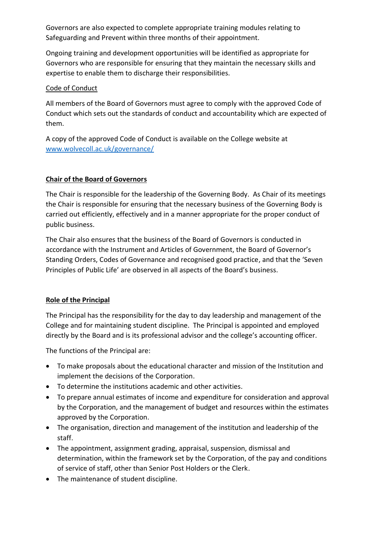Governors are also expected to complete appropriate training modules relating to Safeguarding and Prevent within three months of their appointment.

Ongoing training and development opportunities will be identified as appropriate for Governors who are responsible for ensuring that they maintain the necessary skills and expertise to enable them to discharge their responsibilities.

# Code of Conduct

All members of the Board of Governors must agree to comply with the approved Code of Conduct which sets out the standards of conduct and accountability which are expected of them.

A copy of the approved Code of Conduct is available on the College website at [www.wolvecoll.ac.uk/governance/](http://www.wolvecoll.ac.uk/governance/) 

# **Chair of the Board of Governors**

The Chair is responsible for the leadership of the Governing Body. As Chair of its meetings the Chair is responsible for ensuring that the necessary business of the Governing Body is carried out efficiently, effectively and in a manner appropriate for the proper conduct of public business.

The Chair also ensures that the business of the Board of Governors is conducted in accordance with the Instrument and Articles of Government, the Board of Governor's Standing Orders, Codes of Governance and recognised good practice, and that the 'Seven Principles of Public Life' are observed in all aspects of the Board's business.

# **Role of the Principal**

The Principal has the responsibility for the day to day leadership and management of the College and for maintaining student discipline. The Principal is appointed and employed directly by the Board and is its professional advisor and the college's accounting officer.

The functions of the Principal are:

- To make proposals about the educational character and mission of the Institution and implement the decisions of the Corporation.
- To determine the institutions academic and other activities.
- To prepare annual estimates of income and expenditure for consideration and approval by the Corporation, and the management of budget and resources within the estimates approved by the Corporation.
- The organisation, direction and management of the institution and leadership of the staff.
- The appointment, assignment grading, appraisal, suspension, dismissal and determination, within the framework set by the Corporation, of the pay and conditions of service of staff, other than Senior Post Holders or the Clerk.
- The maintenance of student discipline.